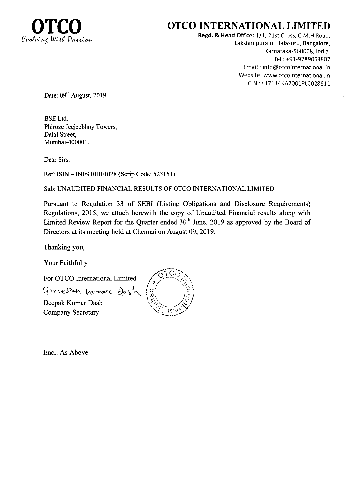

# OTCO INTERNATIONAL LIMITED

Regd. & Head Office: 1/1, 21st Cross, C.M.H.Road, Lakshmipuram, Halasuru, Bangalore, Karnataka-560008, India. Tel :+91-9789053807 Email: info@otcointernational.in Website: www.otcointernational.in CIN : L17114KA2001PLC028611

Date: 09<sup>th</sup> August, 2019

BSE Ltd, Phiroze Jeejeebhoy Towers, Dalal Street, Mumbai-400001.

Dear Sirs,

Ref: ISIN - INE9I0B01028 (Scrip Code: 523151)

Sub: UNAUDITED FINANCIAL RESULTS OF OTCO INTERNATIONAL LIMITED

Pursuant to Regulation 33 of SEBI (Listing Obligations and Disclosure Requirements) Regulations, 2015, we attach herewith the copy of Unaudited Financial results along with Limited Review Report for the Quarter ended  $30<sup>th</sup>$  June, 2019 as approved by the Board of Directors at its meeting held at Chennai on August 09,2019.

Thanking you,

Your Faithfully

For OTCO Intemational Limited

Deepan numore 2012h

Deepak Kumar Dash Company Secretary



Encl: As Above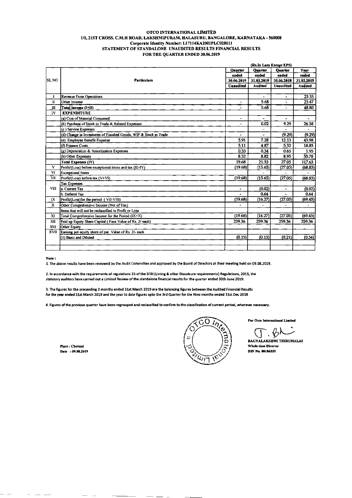#### OTCO INTERNATIONAL LIMITED 1/1, 21ST CROSS. C.M.H ROAD, LAKSHMIPURAM, HALASURU, BANGALORE, KARNATAKA - 560008 Corporate Identity Number: L17114KA2001PLC028611 STATEMENT OF STANDALONE UNAUDITED RESULTS FINANCIAL RESULTS FOR THE QUARTER ENDED 30.06.2019

|               |                                                                   |                  | (Rs.In Lacs Except EPS) |                          |                          |
|---------------|-------------------------------------------------------------------|------------------|-------------------------|--------------------------|--------------------------|
|               |                                                                   | <b>Ouarter</b>   | <b>Quarter</b>          | <b>Quarter</b>           | Year                     |
| ISL NO        | <b>Particulars</b>                                                | ended            | ended                   | ended                    | ended                    |
|               |                                                                   | 30.06.2019       | 31.03.2019              | 30.06.2018               | 31.03.2019               |
|               |                                                                   | <b>Unaudited</b> | <b>Audited</b>          | <b>Unaudited</b>         | <b>Audited</b>           |
|               |                                                                   |                  |                         |                          |                          |
| $\mathbf{I}$  | <b>Revenue From Operations</b>                                    |                  | $\blacksquare$          | $\bullet$                | 25.33                    |
| $\mathbf{II}$ | Other Income                                                      | $\mathbf{r}$     | 5.68                    | ÷.                       | 23.47                    |
| Ш             | Total Income (I+II)                                               | $\bullet$        | 5.68                    | $\overline{\phantom{a}}$ | 48.80                    |
| IV            | <b>EXPENDITURE</b>                                                |                  |                         |                          |                          |
|               | (a) Cost of Material Consumed                                     | -                | ۰                       | ۰                        | ÷                        |
|               | (b) Purchase of Stock in Trade & Related Expenses                 | $\blacksquare$   | 0.02                    | 9.29                     | 26.38                    |
|               | (c) Service Expenses                                              |                  | $\overline{a}$          | ۰                        | ä,                       |
|               | (d) Change in Inventories of Finished Goods, WIP & Stock in Trade |                  |                         | (9.29)                   | (9.29)                   |
|               | (e) Employee Benefit Expense                                      | 5.91             | 7.28                    | 12.13                    | 43.98                    |
|               | (f) Finance Costs                                                 | 5.11             | 4.87                    | 5.32                     | 18.83                    |
|               | (g) Depreciation & Amortization Expenses                          | 0.33             | 0.34                    | 0.65                     | 1.95                     |
|               | (h) Other Expenses                                                | 8.32             | 8.82                    | 8.95                     | 35.78                    |
|               | Total Expenses (IV)                                               | 19.68            | 21.33                   | 27.05                    | 117.63                   |
| v             | Profit/(Loss) before exceptional items and tax (III-IV)           | (19.68)          | (15.65)                 | (27.05)                  | (68.83)                  |
| <b>VI</b>     | <b>Exceptional Items</b>                                          |                  |                         |                          |                          |
| VII           | Profit/(Loss) before tax (V+VI)                                   | (19.68)          | (15.65)                 | (27.05)                  | (68.83)                  |
|               | <b>Tax Expenses</b>                                               |                  |                         |                          |                          |
| VIII          | a. Current Tax                                                    | $\blacksquare$   | (0.02)                  | $\blacksquare$           | (0.02)                   |
|               | b. Defend Tax                                                     |                  | 0.64                    |                          | 0.64                     |
| 1X            | Profit/(Loss) for the period (VII-VIII)                           | (19.68)          | (16.27)                 | (27.05)                  | (69.45)                  |
| X             | Other Comprehensive Income (Net of Tax)                           |                  |                         |                          | $\overline{\phantom{0}}$ |
|               | Items that will not be reclassified to Profit or Loss             |                  |                         |                          |                          |
| XI            | Total Comprehensive Income for the Period (IX+X)                  | (19.68)          | (16.27)                 | (27.05)                  | (69.45)                  |
| XII           | Paid up Equity Share Capital (Face Value of Rs. 2/-each)          | 259.36           | 259.36                  | 259.36                   | 259.36                   |
| $x_{\rm III}$ | Other Equity                                                      |                  |                         |                          |                          |
| XVII          | Earning per equity share of par Value of Rs. 2/- each             |                  |                         |                          |                          |
|               | (1) Basic and Diluted                                             | (0.15)           | (0.13)                  | (0.21)                   | (0.54)                   |
|               |                                                                   |                  |                         |                          |                          |
|               |                                                                   |                  |                         |                          |                          |

Note:

1. The above results have been reviewed by the Audit Committee and approved by the Board of Directors at their meeting held on 09.08.2019.

2. In accordance with the requirements of regulations 33 of the SEBI (Listing & other Discolsure requirements) Regulations, 2015, the statutory auditors have carried out a Limited Review of the standalone financial results for the quarter ended 30th June 2019.

3. The figures for the preceeding 3 months ended 31st March 2019 are the balancing figures between the Audited Financial Results for the year ended 31st March 2019 and the year to date figures upto the 3rd Quarter for the Nine months ended 31st Dec 2018

4. Figures of the previous quarter have been regrouped and reclassified to confirm to the classification of current period, wherever necessary.

Place : Chennai Date: 09.08.2019



For Otco International Limited

 $\hat{ }$ ,  $\hat{ }$ 

BAGYALAKSHMI THIRUMALAI Whole time Director **DIN No. 08186335**